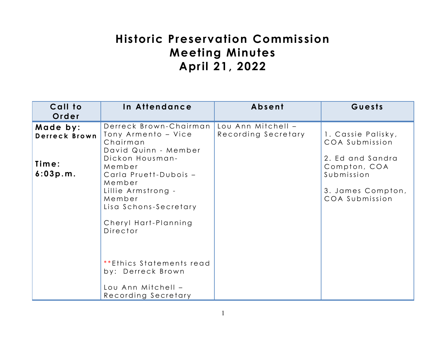# **Historic Preservation Commission Meeting Minutes April 21, 2022**

| Call to<br>Order                               | In Attendance                                                                                                                                                                                                                                                                                   | Absent                                    | Guests                                                                                                                        |
|------------------------------------------------|-------------------------------------------------------------------------------------------------------------------------------------------------------------------------------------------------------------------------------------------------------------------------------------------------|-------------------------------------------|-------------------------------------------------------------------------------------------------------------------------------|
| Made by:<br>Derreck Brown<br>Time:<br>6:03p.m. | Derreck Brown-Chairman<br>Tony Armento - Vice<br>Chairman<br>David Quinn - Member<br>Dickon Housman-<br>Member<br>Carla Pruett-Dubois -<br>Member<br>Lillie Armstrong -<br>Member<br>Lisa Schons-Secretary<br>Cheryl Hart-Planning<br>Director<br>**Ethics Statements read<br>by: Derreck Brown | Lou Ann Mitchell -<br>Recording Secretary | 1. Cassie Palisky,<br>COA Submission<br>2. Ed and Sandra<br>Compton, COA<br>Submission<br>3. James Compton,<br>COA Submission |
|                                                | Lou Ann Mitchell -<br>Recording Secretary                                                                                                                                                                                                                                                       |                                           |                                                                                                                               |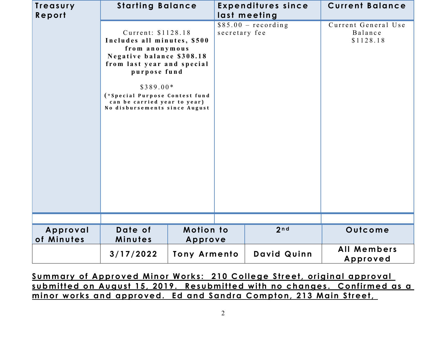| Treasury<br>Report     | <b>Starting Balance</b>                                                                                                                                                                                                                                         |                             |               | <b>Expenditures since</b><br>last meeting | <b>Current Balance</b>                      |
|------------------------|-----------------------------------------------------------------------------------------------------------------------------------------------------------------------------------------------------------------------------------------------------------------|-----------------------------|---------------|-------------------------------------------|---------------------------------------------|
|                        | Current: \$1128.18<br>Includes all minutes, \$500<br>from anonymous<br>Negative balance \$308.18<br>from last year and special<br>purpose fund<br>$$389.00*$<br>(*Special Purpose Contest fund<br>can be carried year to year)<br>No disbursements since August |                             | secretary fee | $$85.00 - recording$                      | Current General Use<br>Balance<br>\$1128.18 |
| Approval<br>of Minutes | Date of<br>Minutes                                                                                                                                                                                                                                              | <b>Motion to</b><br>Approve |               | 2nd                                       | Outcome                                     |
|                        | 3/17/2022                                                                                                                                                                                                                                                       | <b>Tony Armento</b>         |               | David Quinn                               | All Members<br>Approved                     |

Summary of Approved Minor Works: 210 College Street, original approval **s u b m it t e d on Au gu st 15, 2019 . Re s u bm it t e d w it h no c ha n ge s . Co nf ir m e d as a**   $minor$  works and approved. Ed and Sandra Compton, 213 Main Street,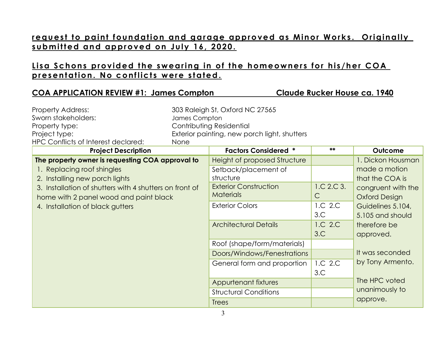#### request to paint foundation and garage approved as Minor Works. Originally submitted and approved on July 16, 2020.

#### **Lisa Schons provided the swearing in of the homeowners for his/her COA** presentation. No conflicts were stated.

#### **COA APPLICATION REVIEW #1: James Compton Claude Rucker House ca. 1940**

| <b>Property Address:</b>                                | 303 Raleigh St, Oxford NC 27565 |                                              |              |                      |  |
|---------------------------------------------------------|---------------------------------|----------------------------------------------|--------------|----------------------|--|
| Sworn stakeholders:                                     | James Compton                   |                                              |              |                      |  |
| Property type:                                          | Contributing Residential        |                                              |              |                      |  |
| Project type:                                           |                                 | Exterior painting, new porch light, shutters |              |                      |  |
| HPC Conflicts of Interest declared:                     | None                            |                                              |              |                      |  |
| <b>Project Description</b>                              |                                 | <b>Factors Considered *</b>                  | **           | Outcome              |  |
| The property owner is requesting COA approval to        |                                 | Height of proposed Structure                 |              | 1. Dickon Housman    |  |
| 1. Replacing roof shingles                              |                                 | Setback/placement of                         |              | made a motion        |  |
| 2. Installing new porch lights                          |                                 | structure                                    |              | that the COA is      |  |
| 3. Installation of shutters with 4 shutters on front of |                                 | <b>Exterior Construction</b>                 | 1.C.2.C.3.   | congruent with the   |  |
| home with 2 panel wood and paint black                  |                                 | <b>Materials</b>                             | $\mathsf{C}$ | <b>Oxford Design</b> |  |
| 4. Installation of black gutters                        |                                 | <b>Exterior Colors</b>                       | 1.C 2.C      | Guidelines 5.104,    |  |
|                                                         |                                 |                                              | 3.C          | 5.105 and should     |  |
|                                                         |                                 | <b>Architectural Details</b>                 | 1.C 2.C      | therefore be         |  |
|                                                         |                                 |                                              | 3.C          | approved.            |  |
|                                                         |                                 | Roof (shape/form/materials)                  |              |                      |  |
|                                                         |                                 | Doors/Windows/Fenestrations                  |              | It was seconded      |  |
|                                                         |                                 | General form and proportion                  | 1.C 2.C      | by Tony Armento.     |  |
|                                                         |                                 |                                              | 3.C          |                      |  |
|                                                         |                                 | Appurtenant fixtures                         |              | The HPC voted        |  |
|                                                         |                                 | <b>Structural Conditions</b>                 |              | unanimously to       |  |
|                                                         |                                 | <b>Trees</b>                                 |              | approve.             |  |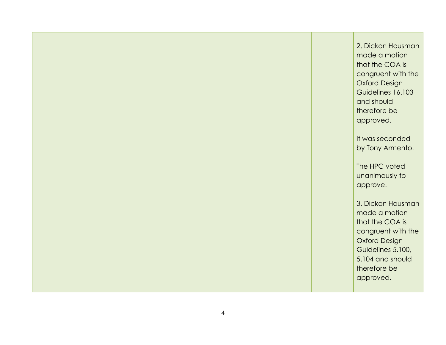|  | 2. Dickon Housman<br>made a motion<br>that the COA is<br>congruent with the<br><b>Oxford Design</b><br>Guidelines 16.103<br>and should<br>therefore be<br>approved.<br>It was seconded |
|--|----------------------------------------------------------------------------------------------------------------------------------------------------------------------------------------|
|  | by Tony Armento.<br>The HPC voted                                                                                                                                                      |
|  | unanimously to<br>approve.<br>3. Dickon Housman                                                                                                                                        |
|  | made a motion<br>that the COA is<br>congruent with the<br><b>Oxford Design</b><br>Guidelines 5.100,<br>5.104 and should<br>therefore be<br>approved.                                   |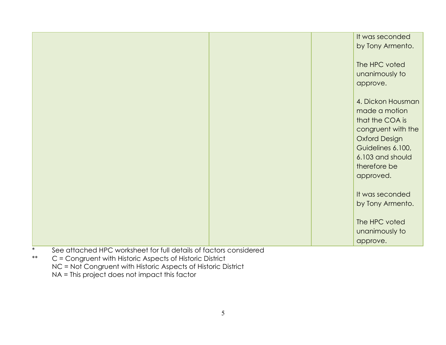|                                                                                                                                                                                                                                             |                                 | It was seconded      |
|---------------------------------------------------------------------------------------------------------------------------------------------------------------------------------------------------------------------------------------------|---------------------------------|----------------------|
|                                                                                                                                                                                                                                             |                                 | by Tony Armento.     |
|                                                                                                                                                                                                                                             |                                 |                      |
|                                                                                                                                                                                                                                             |                                 | The HPC voted        |
|                                                                                                                                                                                                                                             |                                 |                      |
|                                                                                                                                                                                                                                             |                                 | unanimously to       |
|                                                                                                                                                                                                                                             |                                 | approve.             |
|                                                                                                                                                                                                                                             |                                 |                      |
|                                                                                                                                                                                                                                             |                                 | 4. Dickon Housman    |
|                                                                                                                                                                                                                                             |                                 | made a motion        |
|                                                                                                                                                                                                                                             |                                 | that the COA is      |
|                                                                                                                                                                                                                                             |                                 | congruent with the   |
|                                                                                                                                                                                                                                             |                                 |                      |
|                                                                                                                                                                                                                                             |                                 | <b>Oxford Design</b> |
|                                                                                                                                                                                                                                             |                                 | Guidelines 6.100,    |
|                                                                                                                                                                                                                                             |                                 | 6.103 and should     |
|                                                                                                                                                                                                                                             |                                 | therefore be         |
|                                                                                                                                                                                                                                             |                                 | approved.            |
|                                                                                                                                                                                                                                             |                                 |                      |
|                                                                                                                                                                                                                                             |                                 | It was seconded      |
|                                                                                                                                                                                                                                             |                                 | by Tony Armento.     |
|                                                                                                                                                                                                                                             |                                 |                      |
|                                                                                                                                                                                                                                             |                                 |                      |
|                                                                                                                                                                                                                                             |                                 | The HPC voted        |
|                                                                                                                                                                                                                                             |                                 | unanimously to       |
|                                                                                                                                                                                                                                             |                                 | approve.             |
| $\mathbf{u}$ is the contract of the contract of the contract of the contract of the contract of the contract of the contract of the contract of the contract of the contract of the contract of the contract of the contract of t<br>$\sim$ | the contract of the contract of |                      |

- See attached HPC worksheet for full details of factors considered
- \*\* C = Congruent with Historic Aspects of Historic District NC = Not Congruent with Historic Aspects of Historic District NA = This project does not impact this factor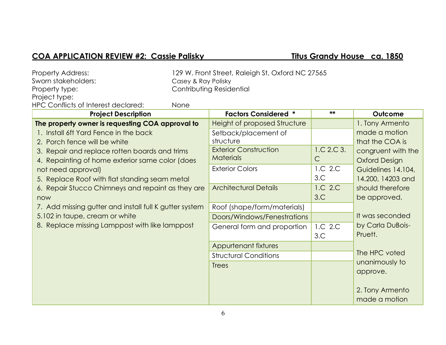### **COA APPLICATION REVIEW #2: Cassie Palisky <b>Titus Grandy House ca. 1850**

| <b>Property Address:</b><br>Sworn stakeholders:<br>Property type:<br>Project type:                                                                                                                                                                                                                                                                                                                                                                                                         | 129 W. Front Street, Raleigh St, Oxford NC 27565<br>Casey & Ray Polisky<br>Contributing Residential |                                                                                                                                                                                                                                                                              |                                                                |                                                                                                                                                                                                                |
|--------------------------------------------------------------------------------------------------------------------------------------------------------------------------------------------------------------------------------------------------------------------------------------------------------------------------------------------------------------------------------------------------------------------------------------------------------------------------------------------|-----------------------------------------------------------------------------------------------------|------------------------------------------------------------------------------------------------------------------------------------------------------------------------------------------------------------------------------------------------------------------------------|----------------------------------------------------------------|----------------------------------------------------------------------------------------------------------------------------------------------------------------------------------------------------------------|
| HPC Conflicts of Interest declared:                                                                                                                                                                                                                                                                                                                                                                                                                                                        | None                                                                                                |                                                                                                                                                                                                                                                                              | **                                                             |                                                                                                                                                                                                                |
| <b>Project Description</b><br>The property owner is requesting COA approval to<br>1. Install 6ft Yard Fence in the back<br>2. Porch fence will be white<br>3. Repair and replace rotten boards and trims<br>4. Repainting of home exterior same color (does<br>not need approval)<br>5. Replace Roof with flat standing seam metal<br>6. Repair Stucco Chimneys and repaint as they are<br>now<br>7. Add missing gutter and install full K gutter system<br>5.102 in taupe, cream or white |                                                                                                     | <b>Factors Considered *</b><br>Height of proposed Structure<br>Setback/placement of<br>structure<br><b>Exterior Construction</b><br><b>Materials</b><br><b>Exterior Colors</b><br><b>Architectural Details</b><br>Roof (shape/form/materials)<br>Doors/Windows/Fenestrations | 1.C.2.C.3.<br>$\mathsf{C}$<br>1.C 2.C<br>3.C<br>1.C 2.C<br>3.C | Outcome<br>1. Tony Armento<br>made a motion<br>that the COA is<br>congruent with the<br><b>Oxford Design</b><br>Guidelines 14.104,<br>14.200, 14203 and<br>should therefore<br>be approved.<br>It was seconded |
| 8. Replace missing Lamppost with like lamppost                                                                                                                                                                                                                                                                                                                                                                                                                                             |                                                                                                     | General form and proportion<br>Appurtenant fixtures<br><b>Structural Conditions</b><br><b>Trees</b>                                                                                                                                                                          | 1.C 2.C<br>3.C                                                 | by Carla DuBois-<br>Pruett.<br>The HPC voted<br>unanimously to<br>approve.<br>2. Tony Armento<br>made a motion                                                                                                 |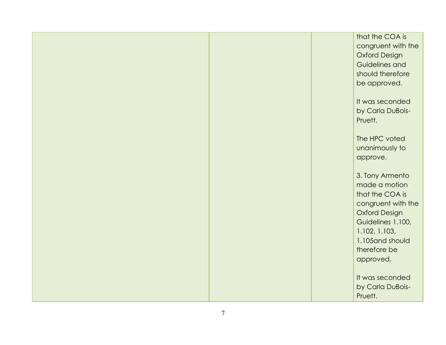|  | that the COA is<br>congruent with the<br><b>Oxford Design</b><br>Guidelines and<br>should therefore<br>be approved.                                                                      |
|--|------------------------------------------------------------------------------------------------------------------------------------------------------------------------------------------|
|  | It was seconded<br>by Carla DuBois-<br>Pruett.                                                                                                                                           |
|  | The HPC voted<br>unanimously to<br>approve.                                                                                                                                              |
|  | 3. Tony Armento<br>made a motion<br>that the COA is<br>congruent with the<br><b>Oxford Design</b><br>Guidelines 1.100,<br>1.102, 1.103,<br>1.105 and should<br>therefore be<br>approved. |
|  | It was seconded<br>by Carla DuBois-<br>Pruett.                                                                                                                                           |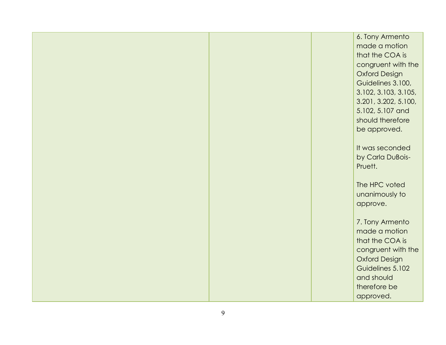| 6. Tony Armento      |
|----------------------|
| made a motion        |
| that the COA is      |
| congruent with the   |
| <b>Oxford Design</b> |
| Guidelines 3.100,    |
|                      |
| 3.102, 3.103, 3.105, |
| 3.201, 3.202, 5.100, |
| 5.102, 5.107 and     |
| should therefore     |
| be approved.         |
|                      |
| It was seconded      |
| by Carla DuBois-     |
| Pruett.              |
|                      |
| The HPC voted        |
| unanimously to       |
| approve.             |
|                      |
| 7. Tony Armento      |
| made a motion        |
| that the COA is      |
| congruent with the   |
| <b>Oxford Design</b> |
| Guidelines 5.102     |
| and should           |
| therefore be         |
| approved.            |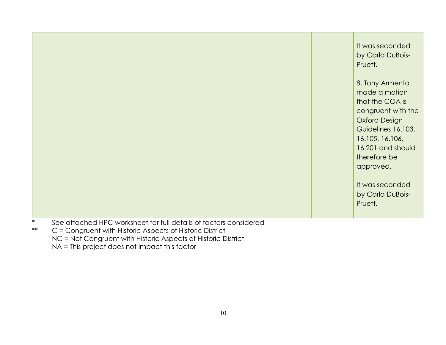| $\ast$                                                            |  | It was seconded<br>by Carla DuBois-<br>Pruett.<br>8. Tony Armento<br>made a motion<br>that the COA is<br>congruent with the<br><b>Oxford Design</b><br>Guidelines 16.103,<br>16.105, 16.106,<br>16.201 and should<br>therefore be<br>approved.<br>It was seconded<br>by Carla DuBois-<br>Pruett. |
|-------------------------------------------------------------------|--|--------------------------------------------------------------------------------------------------------------------------------------------------------------------------------------------------------------------------------------------------------------------------------------------------|
| See attached HPC worksheet for full details of factors considered |  |                                                                                                                                                                                                                                                                                                  |

- \*\* C = Congruent with Historic Aspects of Historic District
	- NC = Not Congruent with Historic Aspects of Historic District

NA = This project does not impact this factor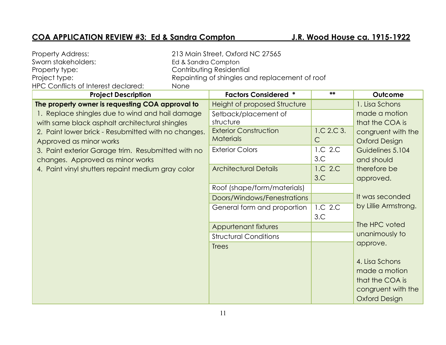## **COA APPLICATION REVIEW #3: Ed & Sandra Compton J.R. Wood House ca. 1915-1922**

| <b>Property Address:</b>                            |                     | 213 Main Street, Oxford NC 27565               |              |                      |
|-----------------------------------------------------|---------------------|------------------------------------------------|--------------|----------------------|
| Sworn stakeholders:                                 | Ed & Sandra Compton |                                                |              |                      |
| Contributing Residential<br>Property type:          |                     |                                                |              |                      |
| Project type:                                       |                     | Repainting of shingles and replacement of roof |              |                      |
| HPC Conflicts of Interest declared:                 | None                |                                                |              |                      |
| <b>Project Description</b>                          |                     | <b>Factors Considered *</b>                    | **           | Outcome              |
| The property owner is requesting COA approval to    |                     | Height of proposed Structure                   |              | 1. Lisa Schons       |
| 1. Replace shingles due to wind and hail damage     |                     | Setback/placement of                           |              | made a motion        |
| with same black asphalt architectural shingles      |                     | structure                                      |              | that the COA is      |
| 2. Paint lower brick - Resubmitted with no changes. |                     | <b>Exterior Construction</b>                   | 1.C.2.C.3.   | congruent with the   |
| Approved as minor works                             |                     | <b>Materials</b>                               | $\mathsf{C}$ | <b>Oxford Design</b> |
| 3. Paint exterior Garage trim. Resubmitted with no  |                     | <b>Exterior Colors</b>                         | 1.C 2.C      | Guidelines 5.104     |
| changes. Approved as minor works                    |                     |                                                | 3.C          | and should           |
| 4. Paint vinyl shutters repaint medium gray color   |                     | <b>Architectural Details</b>                   | 1.C 2.C      | therefore be         |
|                                                     |                     |                                                | 3.C          | approved.            |
|                                                     |                     | Roof (shape/form/materials)                    |              |                      |
|                                                     |                     | Doors/Windows/Fenestrations                    |              | It was seconded      |
|                                                     |                     | General form and proportion                    | 1.C 2.C      | by Lillie Armstrong. |
|                                                     |                     |                                                | 3.C          |                      |
|                                                     |                     | Appurtenant fixtures                           |              | The HPC voted        |
|                                                     |                     | <b>Structural Conditions</b>                   |              | unanimously to       |
|                                                     |                     | <b>Trees</b>                                   |              | approve.             |
|                                                     |                     |                                                |              |                      |
|                                                     |                     |                                                |              | 4. Lisa Schons       |
|                                                     |                     |                                                |              | made a motion        |
|                                                     |                     |                                                |              | that the COA is      |
|                                                     |                     |                                                |              | congruent with the   |
|                                                     |                     |                                                |              | <b>Oxford Design</b> |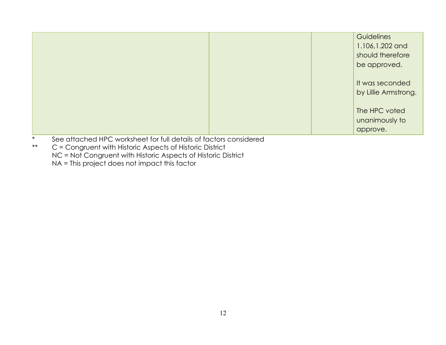|  | Guidelines                              |
|--|-----------------------------------------|
|  | 1.106, 1.202 and                        |
|  | should therefore                        |
|  | be approved.                            |
|  | It was seconded<br>by Lillie Armstrong. |
|  | The HPC voted<br>unanimously to         |
|  | approve.                                |

- \* See attached HPC worksheet for full details of factors considered<br>\*\*  $C =$  Congruent with Historic Aspects of Historic District
- C = Congruent with Historic Aspects of Historic District NC = Not Congruent with Historic Aspects of Historic District NA = This project does not impact this factor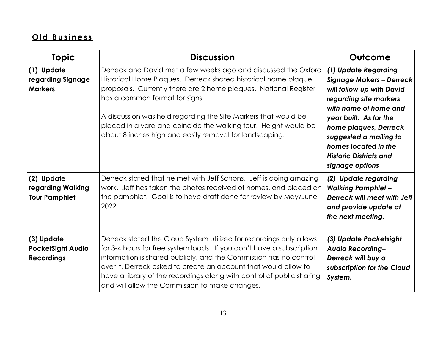# **O ld B u s in es s**

| <b>Topic</b>                                                | <b>Discussion</b>                                                                                                                                                                                                                                                                                                                                                                                                                      | Outcome                                                                                                                                                                                                                                                                                          |  |
|-------------------------------------------------------------|----------------------------------------------------------------------------------------------------------------------------------------------------------------------------------------------------------------------------------------------------------------------------------------------------------------------------------------------------------------------------------------------------------------------------------------|--------------------------------------------------------------------------------------------------------------------------------------------------------------------------------------------------------------------------------------------------------------------------------------------------|--|
| (1) Update<br>regarding Signage<br><b>Markers</b>           | Derreck and David met a few weeks ago and discussed the Oxford<br>Historical Home Plaques. Derreck shared historical home plaque<br>proposals. Currently there are 2 home plaques. National Register<br>has a common format for signs.<br>A discussion was held regarding the Site Markers that would be<br>placed in a yard and coincide the walking tour. Height would be<br>about 8 inches high and easily removal for landscaping. | (1) Update Regarding<br><b>Signage Makers - Derreck</b><br>will follow up with David<br>regarding site markers<br>with name of home and<br>year built. As for the<br>home plaques, Derreck<br>suggested a mailing to<br>homes located in the<br><b>Historic Districts and</b><br>signage options |  |
| (2) Update<br>regarding Walking<br><b>Tour Pamphlet</b>     | Derreck stated that he met with Jeff Schons. Jeff is doing amazing<br>work. Jeff has taken the photos received of homes. and placed on<br>the pamphlet. Goal is to have draft done for review by May/June<br>2022.                                                                                                                                                                                                                     | (2) Update regarding<br><b>Walking Pamphlet -</b><br>Derreck will meet with Jeff<br>and provide update at<br>the next meeting.                                                                                                                                                                   |  |
| (3) Update<br><b>PocketSight Audio</b><br><b>Recordings</b> | Derreck stated the Cloud System utilized for recordings only allows<br>for 3-4 hours for free system loads. If you don't have a subscription,<br>information is shared publicly, and the Commission has no control<br>over it. Derreck asked to create an account that would allow to<br>have a library of the recordings along with control of public sharing<br>and will allow the Commission to make changes.                       | (3) Update Pocketsight<br>Audio Recording-<br>Derreck will buy a<br>subscription for the Cloud<br>System.                                                                                                                                                                                        |  |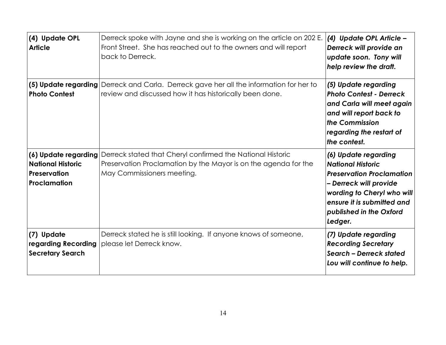| (4) Update OPL<br><b>Article</b>                                                 | Derreck spoke with Jayne and she is working on the article on 202 E.<br>Front Street. She has reached out to the owners and will report<br>back to Derreck. | (4) Update OPL Article -<br>Derreck will provide an<br>update soon. Tony will<br>help review the draft.                                                                                                          |
|----------------------------------------------------------------------------------|-------------------------------------------------------------------------------------------------------------------------------------------------------------|------------------------------------------------------------------------------------------------------------------------------------------------------------------------------------------------------------------|
| <b>Photo Contest</b>                                                             | (5) Update regarding Derreck and Carla. Derreck gave her all the information for her to<br>review and discussed how it has historically been done.          | (5) Update regarding<br><b>Photo Contest - Derreck</b><br>and Carla will meet again<br>and will report back to<br>the Commission<br>regarding the restart of<br>the contest.                                     |
| (6) Update regarding<br><b>National Historic</b><br>Preservation<br>Proclamation | Derreck stated that Cheryl confirmed the National Historic<br>Preservation Proclamation by the Mayor is on the agenda for the<br>May Commissioners meeting. | (6) Update regarding<br><b>National Historic</b><br><b>Preservation Proclamation</b><br>- Derreck will provide<br>wording to Cheryl who will<br>ensure it is submitted and<br>published in the Oxford<br>Ledger. |
| (7) Update<br>regarding Recording<br><b>Secretary Search</b>                     | Derreck stated he is still looking. If anyone knows of someone,<br>please let Derreck know.                                                                 | (7) Update regarding<br><b>Recording Secretary</b><br>Search - Derreck stated<br>Lou will continue to help.                                                                                                      |